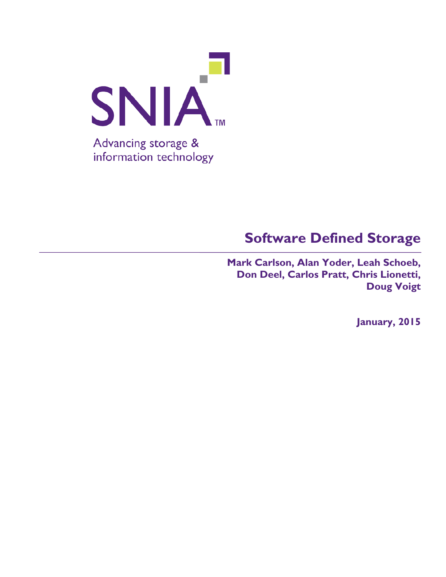

**Mark Carlson, Alan Yoder, Leah Schoeb, Don Deel, Carlos Pratt, Chris Lionetti, Doug Voigt**

**January, 2015**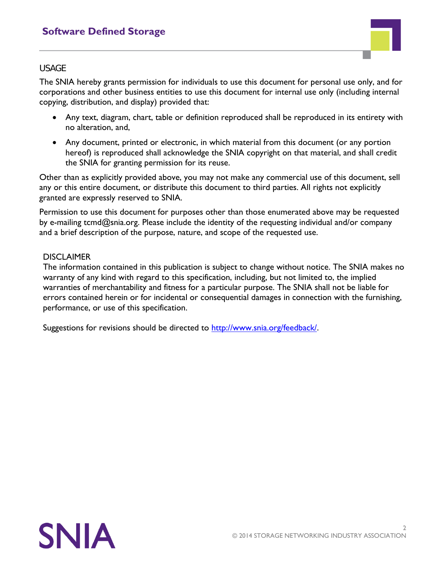

#### USAGE

The SNIA hereby grants permission for individuals to use this document for personal use only, and for corporations and other business entities to use this document for internal use only (including internal copying, distribution, and display) provided that:

- Any text, diagram, chart, table or definition reproduced shall be reproduced in its entirety with no alteration, and,
- Any document, printed or electronic, in which material from this document (or any portion hereof) is reproduced shall acknowledge the SNIA copyright on that material, and shall credit the SNIA for granting permission for its reuse.

Other than as explicitly provided above, you may not make any commercial use of this document, sell any or this entire document, or distribute this document to third parties. All rights not explicitly granted are expressly reserved to SNIA.

Permission to use this document for purposes other than those enumerated above may be requested by e-mailing tcmd@snia.org. Please include the identity of the requesting individual and/or company and a brief description of the purpose, nature, and scope of the requested use.

#### **DISCLAIMER**

The information contained in this publication is subject to change without notice. The SNIA makes no warranty of any kind with regard to this specification, including, but not limited to, the implied warranties of merchantability and fitness for a particular purpose. The SNIA shall not be liable for errors contained herein or for incidental or consequential damages in connection with the furnishing, performance, or use of this specification.

Suggestions for revisions should be directed to [http://www.snia.org/feedback/.](http://www.snia.org/feedback/)

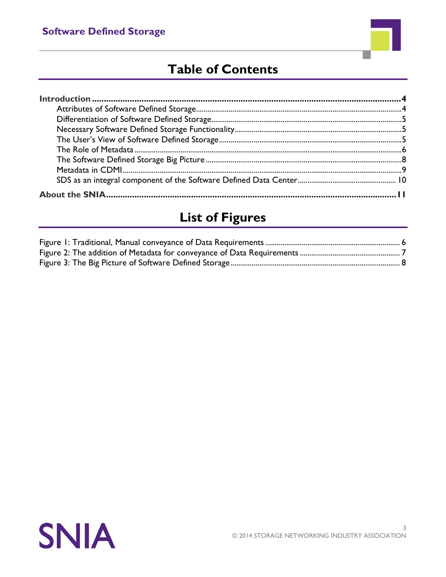

# **Table of Contents**

# **List of Figures**

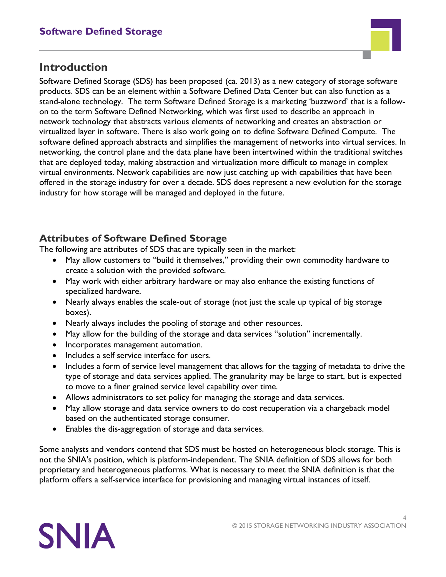

## **Introduction**

Software Defined Storage (SDS) has been proposed (ca. 2013) as a new category of storage software products. SDS can be an element within a Software Defined Data Center but can also function as a stand-alone technology. The term Software Defined Storage is a marketing 'buzzword' that is a followon to the term Software Defined Networking, which was first used to describe an approach in network technology that abstracts various elements of networking and creates an abstraction or virtualized layer in software. There is also work going on to define Software Defined Compute. The software defined approach abstracts and simplifies the management of networks into virtual services. In networking, the control plane and the data plane have been intertwined within the traditional switches that are deployed today, making abstraction and virtualization more difficult to manage in complex virtual environments. Network capabilities are now just catching up with capabilities that have been offered in the storage industry for over a decade. SDS does represent a new evolution for the storage industry for how storage will be managed and deployed in the future.

### **Attributes of Software Defined Storage**

The following are attributes of SDS that are typically seen in the market:

- May allow customers to "build it themselves," providing their own commodity hardware to create a solution with the provided software.
- May work with either arbitrary hardware or may also enhance the existing functions of specialized hardware.
- Nearly always enables the scale-out of storage (not just the scale up typical of big storage boxes).
- Nearly always includes the pooling of storage and other resources.
- May allow for the building of the storage and data services "solution" incrementally.
- Incorporates management automation.
- Includes a self service interface for users.
- Includes a form of service level management that allows for the tagging of metadata to drive the type of storage and data services applied. The granularity may be large to start, but is expected to move to a finer grained service level capability over time.
- Allows administrators to set policy for managing the storage and data services.
- May allow storage and data service owners to do cost recuperation via a chargeback model based on the authenticated storage consumer.
- Enables the dis-aggregation of storage and data services.

Some analysts and vendors contend that SDS must be hosted on heterogeneous block storage. This is not the SNIA's position, which is platform-independent. The SNIA definition of SDS allows for both proprietary and heterogeneous platforms. What is necessary to meet the SNIA definition is that the platform offers a self-service interface for provisioning and managing virtual instances of itself.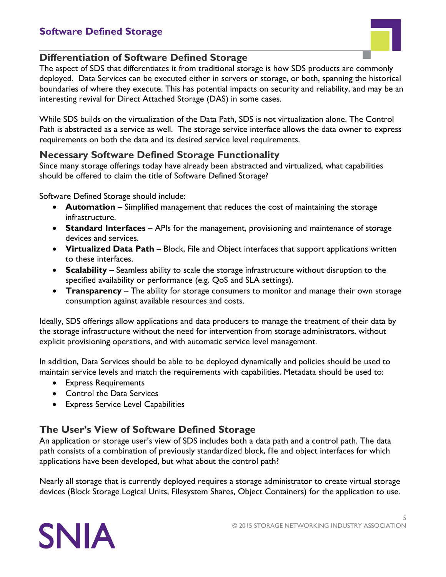

### **Differentiation of Software Defined Storage**

The aspect of SDS that differentiates it from traditional storage is how SDS products are commonly deployed. Data Services can be executed either in servers or storage, or both, spanning the historical boundaries of where they execute. This has potential impacts on security and reliability, and may be an interesting revival for Direct Attached Storage (DAS) in some cases.

While SDS builds on the virtualization of the Data Path, SDS is not virtualization alone. The Control Path is abstracted as a service as well. The storage service interface allows the data owner to express requirements on both the data and its desired service level requirements.

#### **Necessary Software Defined Storage Functionality**

Since many storage offerings today have already been abstracted and virtualized, what capabilities should be offered to claim the title of Software Defined Storage?

Software Defined Storage should include:

- **Automation** Simplified management that reduces the cost of maintaining the storage infrastructure.
- **Standard Interfaces** APIs for the management, provisioning and maintenance of storage devices and services.
- **Virtualized Data Path** Block, File and Object interfaces that support applications written to these interfaces.
- **Scalability** Seamless ability to scale the storage infrastructure without disruption to the specified availability or performance (e.g. QoS and SLA settings).
- **Transparency** The ability for storage consumers to monitor and manage their own storage consumption against available resources and costs.

Ideally, SDS offerings allow applications and data producers to manage the treatment of their data by the storage infrastructure without the need for intervention from storage administrators, without explicit provisioning operations, and with automatic service level management.

In addition, Data Services should be able to be deployed dynamically and policies should be used to maintain service levels and match the requirements with capabilities. Metadata should be used to:

- Express Requirements
- Control the Data Services
- Express Service Level Capabilities

## **The User's View of Software Defined Storage**

An application or storage user's view of SDS includes both a data path and a control path. The data path consists of a combination of previously standardized block, file and object interfaces for which applications have been developed, but what about the control path?

Nearly all storage that is currently deployed requires a storage administrator to create virtual storage devices (Block Storage Logical Units, Filesystem Shares, Object Containers) for the application to use.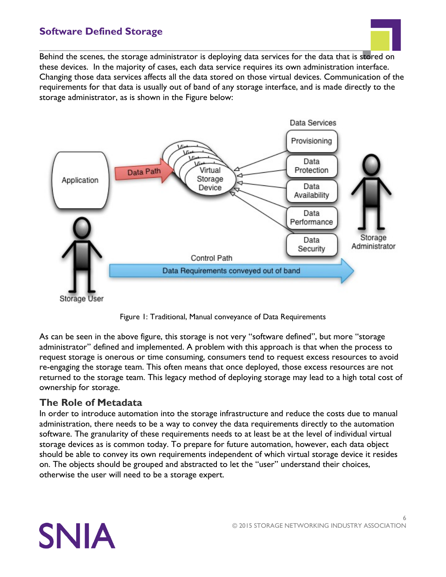Behind the scenes, the storage administrator is deploying data services for the data that is stored on these devices. In the majority of cases, each data service requires its own administration interface. Changing those data services affects all the data stored on those virtual devices. Communication of the requirements for that data is usually out of band of any storage interface, and is made directly to the storage administrator, as is shown in the Figure below:





As can be seen in the above figure, this storage is not very "software defined", but more "storage administrator" defined and implemented. A problem with this approach is that when the process to request storage is onerous or time consuming, consumers tend to request excess resources to avoid re-engaging the storage team. This often means that once deployed, those excess resources are not returned to the storage team. This legacy method of deploying storage may lead to a high total cost of ownership for storage.

#### **The Role of Metadata**

In order to introduce automation into the storage infrastructure and reduce the costs due to manual administration, there needs to be a way to convey the data requirements directly to the automation software. The granularity of these requirements needs to at least be at the level of individual virtual storage devices as is common today. To prepare for future automation, however, each data object should be able to convey its own requirements independent of which virtual storage device it resides on. The objects should be grouped and abstracted to let the "user" understand their choices, otherwise the user will need to be a storage expert.

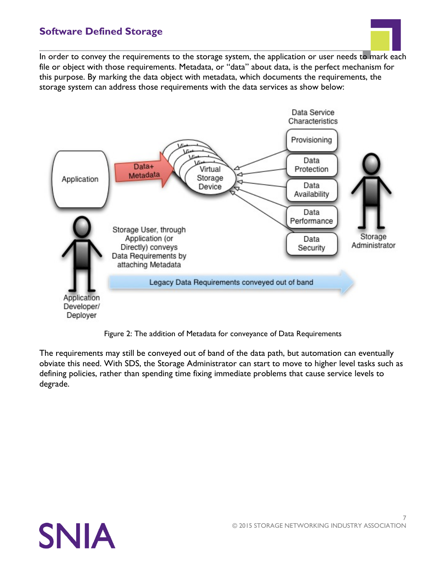

In order to convey the requirements to the storage system, the application or user needs to mark each file or object with those requirements. Metadata, or "data" about data, is the perfect mechanism for this purpose. By marking the data object with metadata, which documents the requirements, the storage system can address those requirements with the data services as show below:



Figure 2: The addition of Metadata for conveyance of Data Requirements

The requirements may still be conveyed out of band of the data path, but automation can eventually obviate this need. With SDS, the Storage Administrator can start to move to higher level tasks such as defining policies, rather than spending time fixing immediate problems that cause service levels to degrade.

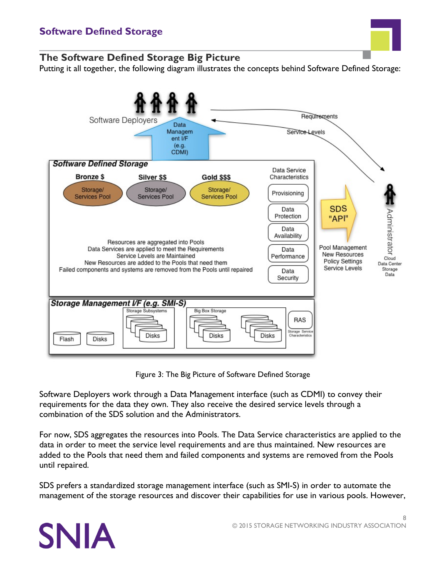

#### **The Software Defined Storage Big Picture**

Putting it all together, the following diagram illustrates the concepts behind Software Defined Storage:



Figure 3: The Big Picture of Software Defined Storage

Software Deployers work through a Data Management interface (such as CDMI) to convey their requirements for the data they own. They also receive the desired service levels through a combination of the SDS solution and the Administrators.

For now, SDS aggregates the resources into Pools. The Data Service characteristics are applied to the data in order to meet the service level requirements and are thus maintained. New resources are added to the Pools that need them and failed components and systems are removed from the Pools until repaired.

SDS prefers a standardized storage management interface (such as SMI-S) in order to automate the management of the storage resources and discover their capabilities for use in various pools. However,

# **SNIA**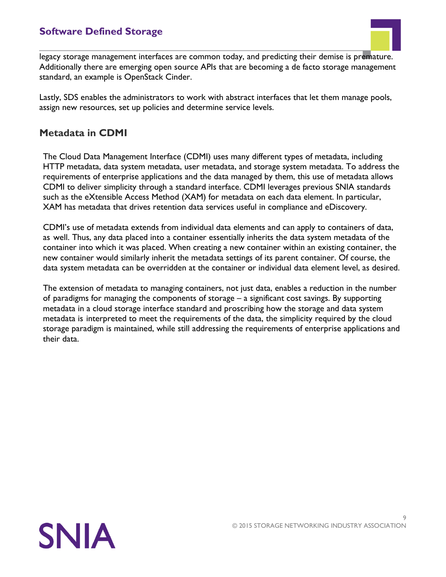

legacy storage management interfaces are common today, and predicting their demise is premature. Additionally there are emerging open source APIs that are becoming a de facto storage management standard, an example is OpenStack Cinder.

Lastly, SDS enables the administrators to work with abstract interfaces that let them manage pools, assign new resources, set up policies and determine service levels.

#### **Metadata in CDMI**

The Cloud Data Management Interface (CDMI) uses many different types of metadata, including HTTP metadata, data system metadata, user metadata, and storage system metadata. To address the requirements of enterprise applications and the data managed by them, this use of metadata allows CDMI to deliver simplicity through a standard interface. CDMI leverages previous SNIA standards such as the eXtensible Access Method (XAM) for metadata on each data element. In particular, XAM has metadata that drives retention data services useful in compliance and eDiscovery.

CDMI's use of metadata extends from individual data elements and can apply to containers of data, as well. Thus, any data placed into a container essentially inherits the data system metadata of the container into which it was placed. When creating a new container within an existing container, the new container would similarly inherit the metadata settings of its parent container. Of course, the data system metadata can be overridden at the container or individual data element level, as desired.

The extension of metadata to managing containers, not just data, enables a reduction in the number of paradigms for managing the components of storage – a significant cost savings. By supporting metadata in a cloud storage interface standard and proscribing how the storage and data system metadata is interpreted to meet the requirements of the data, the simplicity required by the cloud storage paradigm is maintained, while still addressing the requirements of enterprise applications and their data.

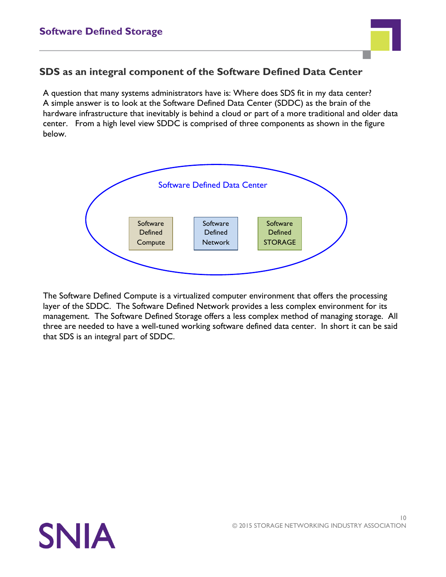

#### **SDS as an integral component of the Software Defined Data Center**

A question that many systems administrators have is: Where does SDS fit in my data center? A simple answer is to look at the Software Defined Data Center (SDDC) as the brain of the hardware infrastructure that inevitably is behind a cloud or part of a more traditional and older data center. From a high level view SDDC is comprised of three components as shown in the figure below.



The Software Defined Compute is a virtualized computer environment that offers the processing layer of the SDDC. The Software Defined Network provides a less complex environment for its management. The Software Defined Storage offers a less complex method of managing storage. All three are needed to have a well-tuned working software defined data center. In short it can be said that SDS is an integral part of SDDC.